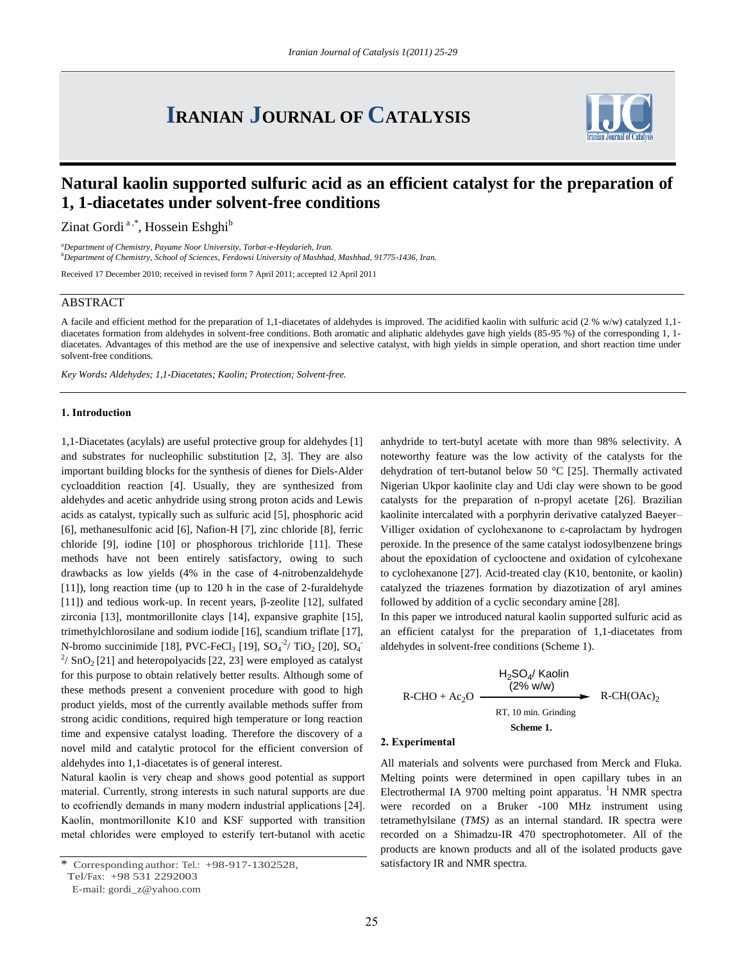# **IRANIAN JOURNAL OF CATALYSIS**



# **Natural kaolin supported sulfuric acid as an efficient catalyst for the preparation of 1, 1-diacetates under solvent-free conditions**

Zinat Gordi<sup>a,\*</sup>, Hossein Eshghi<sup>b</sup>

*<sup>a</sup>Department of Chemistry, Payame Noor University, Torbat-e-Heydarieh, Iran. <sup>b</sup>Department of Chemistry, School of Sciences, Ferdowsi University of Mashhad, Mashhad, 91775-1436, Iran.*

Received 17 December 2010; received in revised form 7 April 2011; accepted 12 April 2011

### ABSTRACT

A facile and efficient method for the preparation of 1,1-diacetates of aldehydes is improved. The acidified kaolin with sulfuric acid (2 % w/w) catalyzed 1,1 diacetates formation from aldehydes in solvent-free conditions. Both aromatic and aliphatic aldehydes gave high yields (85-95 %) of the corresponding 1, 1 diacetates. Advantages of this method are the use of inexpensive and selective catalyst, with high yields in simple operation, and short reaction time under solvent-free conditions.

*Key Words: Aldehydes; 1,1-Diacetates; Kaolin; Protection; Solvent-free.*

#### **1. Introduction**

1,1-Diacetates (acylals) are useful protective group for aldehydes [1] and substrates for nucleophilic substitution [2, 3]. They are also important building blocks for the synthesis of dienes for Diels-Alder cycloaddition reaction [4]. Usually, they are synthesized from aldehydes and acetic anhydride using strong proton acids and Lewis acids as catalyst, typically such as sulfuric acid [5], phosphoric acid [6], methanesulfonic acid [6], Nafion-H [7], zinc chloride [8], ferric chloride [9], iodine [10] or phosphorous trichloride [11]. These methods have not been entirely satisfactory, owing to such drawbacks as low yields (4% in the case of 4-nitrobenzaldehyde [11]), long reaction time (up to 120 h in the case of 2-furaldehyde [11]) and tedious work-up. In recent years,  $\beta$ -zeolite [12], sulfated zirconia [13], montmorillonite clays [14], expansive graphite [15], trimethylchlorosilane and sodium iodide [16], scandium triflate [17], N-bromo succinimide [18], PVC-FeCl<sub>3</sub> [19],  $SO_4^{-2}$ / TiO<sub>2</sub> [20],  $SO_4^{-2}$  $^{2}/$  SnO<sub>2</sub> [21] and heteropolyacids [22, 23] were employed as catalyst for this purpose to obtain relatively better results. Although some of these methods present a convenient procedure with good to high product yields, most of the currently available methods suffer from strong acidic conditions, required high temperature or long reaction time and expensive catalyst loading. Therefore the discovery of a novel mild and catalytic protocol for the efficient conversion of aldehydes into 1,1-diacetates is of general interest.

Natural kaolin is very cheap and shows good potential as support material. Currently, strong interests in such natural supports are due to ecofriendly demands in many modern industrial applications [24]. Kaolin, montmorillonite K10 and KSF supported with transition metal chlorides were employed to esterify tert-butanol with acetic

E-mail: gordi\_z@yahoo.com

anhydride to tert-butyl acetate with more than 98% selectivity. A noteworthy feature was the low activity of the catalysts for the dehydration of tert-butanol below 50 °C [25]. Thermally activated Nigerian Ukpor kaolinite clay and Udi clay were shown to be good catalysts for the preparation of n-propyl acetate [26]. Brazilian kaolinite intercalated with a porphyrin derivative catalyzed Baeyer– Villiger oxidation of cyclohexanone to ε-caprolactam by hydrogen peroxide. In the presence of the same catalyst iodosylbenzene brings about the epoxidation of cyclooctene and oxidation of cylcohexane to cyclohexanone [27]. Acid-treated clay (K10, bentonite, or kaolin) catalyzed the triazenes formation by diazotization of aryl amines followed by addition of a cyclic secondary amine [28].

In this paper we introduced natural kaolin supported sulfuric acid as an efficient catalyst for the preparation of 1,1-diacetates from aldehydes in solvent-free conditions (Scheme 1).

$$
\begin{array}{c}\n\text{H}_{2}\text{SO}_{4}/\text{Kaolin} \\
\hline\n(2\% \text{ w/w})\n\end{array}\n\longrightarrow\n\begin{array}{c}\n\text{R-CH(OAc)}_{2}\n\end{array}
$$
\n
$$
\begin{array}{c}\n\text{R-CH(OAc)}_{2}\n\end{array}
$$
\n
$$
\begin{array}{c}\n\text{R-CH(OAc)}_{2}\n\end{array}
$$
\n
$$
\begin{array}{c}\n\text{Scheme 1.}\n\end{array}
$$

#### **2. Experimental**

All materials and solvents were purchased from Merck and Fluka. Melting points were determined in open capillary tubes in an Electrothermal IA 9700 melting point apparatus. <sup>1</sup>H NMR spectra were recorded on a Bruker -100 MHz instrument using tetramethylsilane (*TMS)* as an internal standard. IR spectra were recorded on a Shimadzu-IR 470 spectrophotometer. All of the products are known products and all of the isolated products gave satisfactory IR and NMR spectra.

Corresponding author: Tel.: +98-917-1302528, Tel/Fax: +98 531 2292003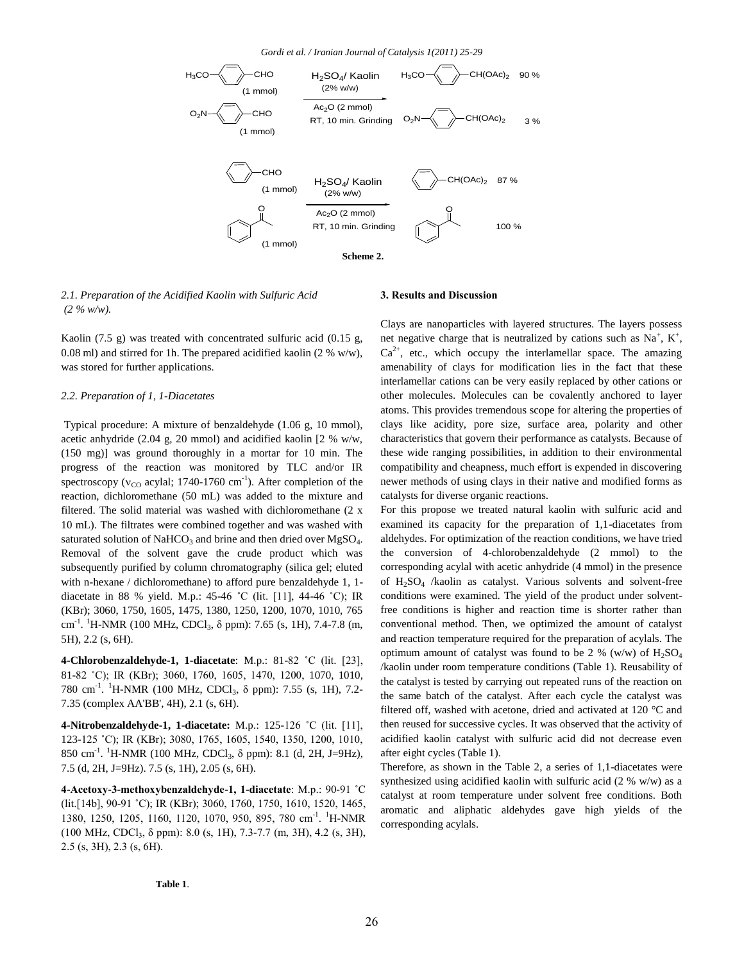

*2.1. Preparation of the Acidified Kaolin with Sulfuric Acid (2 % w/w).*

Kaolin (7.5 g) was treated with concentrated sulfuric acid (0.15 g, 0.08 ml) and stirred for 1h. The prepared acidified kaolin (2 % w/w), was stored for further applications.

#### *2.2. Preparation of 1, 1-Diacetates*

Typical procedure: A mixture of benzaldehyde (1.06 g, 10 mmol), acetic anhydride (2.04 g, 20 mmol) and acidified kaolin [2 % w/w, (150 mg)] was ground thoroughly in a mortar for 10 min. The progress of the reaction was monitored by TLC and/or IR spectroscopy ( $v_{\rm CO}$  acylal; 1740-1760 cm<sup>-1</sup>). After completion of the reaction, dichloromethane (50 mL) was added to the mixture and filtered. The solid material was washed with dichloromethane (2 x 10 mL). The filtrates were combined together and was washed with saturated solution of NaHCO<sub>3</sub> and brine and then dried over MgSO<sub>4</sub>. Removal of the solvent gave the crude product which was subsequently purified by column chromatography (silica gel; eluted with n-hexane / dichloromethane) to afford pure benzaldehyde 1, 1 diacetate in 88 % yield. M.p.: 45-46 ˚C (lit. [11], 44-46 ˚C); IR (KBr); 3060, 1750, 1605, 1475, 1380, 1250, 1200, 1070, 1010, 765 cm<sup>-1</sup>. <sup>1</sup>H-NMR (100 MHz, CDCl<sub>3</sub>, δ ppm): 7.65 (s, 1H), 7.4-7.8 (m, 5H), 2.2 (s, 6H).

**4-Chlorobenzaldehyde-1, 1-diacetate**: M.p.: 81-82 ˚C (lit. [23], 81-82 ˚C); IR (KBr); 3060, 1760, 1605, 1470, 1200, 1070, 1010, 780 cm<sup>-1</sup>. <sup>1</sup>H-NMR (100 MHz, CDCl<sub>3</sub>, δ ppm): 7.55 (s, 1H), 7.2-7.35 (complex AA'BB', 4H), 2.1 (s, 6H).

**4-Nitrobenzaldehyde-1, 1-diacetate:** M.p.: 125-126 ˚C (lit. [11], 123-125 ˚C); IR (KBr); 3080, 1765, 1605, 1540, 1350, 1200, 1010, 850 cm<sup>-1</sup>. <sup>1</sup>H-NMR (100 MHz, CDCl<sub>3</sub>, δ ppm): 8.1 (d, 2H, J=9Hz), 7.5 (d, 2H, J=9Hz). 7.5 (s, 1H), 2.05 (s, 6H).

**4-Acetoxy-3-methoxybenzaldehyde-1, 1-diacetate**: M.p.: 90-91 ˚C (lit.[14b], 90-91 ˚C); IR (KBr); 3060, 1760, 1750, 1610, 1520, 1465, 1380, 1250, 1205, 1160, 1120, 1070, 950, 895, 780 cm<sup>-1</sup>. <sup>1</sup>H-NMR (100 MHz, CDCl<sup>3</sup> , δ ppm): 8.0 (s, 1H), 7.3-7.7 (m, 3H), 4.2 (s, 3H), 2.5 (s, 3H), 2.3 (s, 6H).

#### **3. Results and Discussion**

Clays are nanoparticles with layered structures. The layers possess net negative charge that is neutralized by cations such as  $Na^+$ ,  $K^+$ ,  $Ca<sup>2+</sup>$ , etc., which occupy the interlamellar space. The amazing amenability of clays for modification lies in the fact that these interlamellar cations can be very easily replaced by other cations or other molecules. Molecules can be covalently anchored to layer atoms. This provides tremendous scope for altering the properties of clays like acidity, pore size, surface area, polarity and other characteristics that govern their performance as catalysts. Because of these wide ranging possibilities, in addition to their environmental compatibility and cheapness, much effort is expended in discovering newer methods of using clays in their native and modified forms as catalysts for diverse organic reactions.

For this propose we treated natural kaolin with sulfuric acid and examined its capacity for the preparation of 1,1-diacetates from aldehydes. For optimization of the reaction conditions, we have tried the conversion of 4-chlorobenzaldehyde (2 mmol) to the corresponding acylal with acetic anhydride (4 mmol) in the presence of H2SO<sup>4</sup> /kaolin as catalyst. Various solvents and solvent-free conditions were examined. The yield of the product under solventfree conditions is higher and reaction time is shorter rather than conventional method. Then, we optimized the amount of catalyst and reaction temperature required for the preparation of acylals. The optimum amount of catalyst was found to be 2 % (w/w) of  $H_2SO_4$ /kaolin under room temperature conditions (Table 1). Reusability of the catalyst is tested by carrying out repeated runs of the reaction on the same batch of the catalyst. After each cycle the catalyst was filtered off, washed with acetone, dried and activated at 120 °C and then reused for successive cycles. It was observed that the activity of acidified kaolin catalyst with sulfuric acid did not decrease even after eight cycles (Table 1).

Therefore, as shown in the Table 2, a series of 1,1-diacetates were synthesized using acidified kaolin with sulfuric acid (2 % w/w) as a catalyst at room temperature under solvent free conditions. Both aromatic and aliphatic aldehydes gave high yields of the corresponding acylals.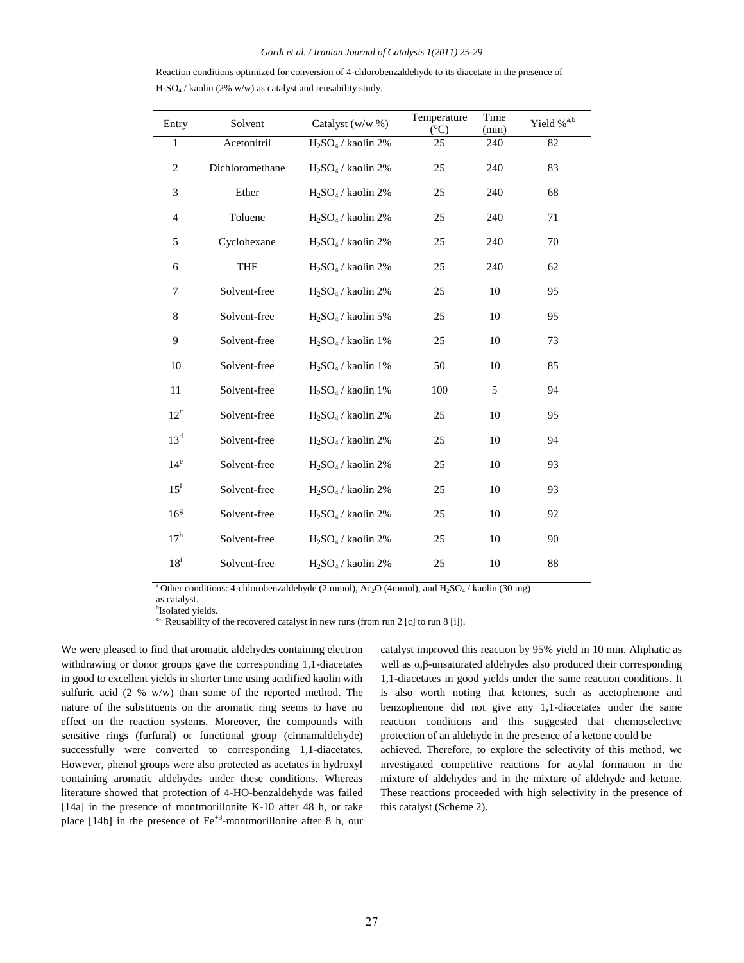| Reaction conditions optimized for conversion of 4-chlorobenzaldehyde to its diacetate in the presence of |
|----------------------------------------------------------------------------------------------------------|
| $H_2SO_4$ / kaolin (2% w/w) as catalyst and reusability study.                                           |

| Entry            | Solvent         | Catalyst (w/w %)      | Temperature<br>$(^{\circ}C)$ | Time<br>(min) | Yield % <sup>a,b</sup> |
|------------------|-----------------|-----------------------|------------------------------|---------------|------------------------|
| $\mathbf{1}$     | Acetonitril     | $H_2SO_4$ / kaolin 2% | 25                           | 240           | 82                     |
| $\overline{c}$   | Dichloromethane | $H_2SO_4$ / kaolin 2% | 25                           | 240           | 83                     |
| 3                | Ether           | $H_2SO_4$ / kaolin 2% | 25                           | 240           | 68                     |
| $\overline{4}$   | Toluene         | $H_2SO_4$ / kaolin 2% | 25                           | 240           | 71                     |
| 5                | Cyclohexane     | $H_2SO_4$ / kaolin 2% | 25                           | 240           | 70                     |
| 6                | <b>THF</b>      | $H_2SO_4$ / kaolin 2% | 25                           | 240           | 62                     |
| $\boldsymbol{7}$ | Solvent-free    | $H_2SO_4$ / kaolin 2% | 25                           | 10            | 95                     |
| $\,$ 8 $\,$      | Solvent-free    | $H_2SO_4$ / kaolin 5% | 25                           | 10            | 95                     |
| 9                | Solvent-free    | $H_2SO_4$ / kaolin 1% | 25                           | 10            | 73                     |
| 10               | Solvent-free    | $H_2SO_4$ / kaolin 1% | 50                           | 10            | 85                     |
| $11\,$           | Solvent-free    | $H_2SO_4$ / kaolin 1% | 100                          | 5             | 94                     |
| $12^{\circ}$     | Solvent-free    | $H_2SO_4$ / kaolin 2% | 25                           | 10            | 95                     |
| 13 <sup>d</sup>  | Solvent-free    | $H_2SO_4$ / kaolin 2% | 25                           | 10            | 94                     |
| 14 <sup>e</sup>  | Solvent-free    | $H_2SO_4$ / kaolin 2% | 25                           | 10            | 93                     |
| 15 <sup>f</sup>  | Solvent-free    | $H_2SO_4$ / kaolin 2% | 25                           | 10            | 93                     |
| 16 <sup>g</sup>  | Solvent-free    | $H_2SO_4$ / kaolin 2% | 25                           | 10            | 92                     |
| $17^h$           | Solvent-free    | $H_2SO_4$ / kaolin 2% | 25                           | 10            | 90                     |
| $18^{\rm i}$     | Solvent-free    | $H_2SO_4$ / kaolin 2% | 25                           | 10            | 88                     |

<sup>a</sup> Other conditions: 4-chlorobenzaldehyde (2 mmol), Ac<sub>2</sub>O (4mmol), and H<sub>2</sub>SO<sub>4</sub> / kaolin (30 mg)

as catalyst.

<sup>b</sup>Isolated yields.

 $c-i$  Reusability of the recovered catalyst in new runs (from run 2 [c] to run 8 [i]).

We were pleased to find that aromatic aldehydes containing electron withdrawing or donor groups gave the corresponding 1,1-diacetates in good to excellent yields in shorter time using acidified kaolin with sulfuric acid (2 % w/w) than some of the reported method. The nature of the substituents on the aromatic ring seems to have no effect on the reaction systems. Moreover, the compounds with sensitive rings (furfural) or functional group (cinnamaldehyde) successfully were converted to corresponding 1,1-diacetates. However, phenol groups were also protected as acetates in hydroxyl containing aromatic aldehydes under these conditions. Whereas literature showed that protection of 4-HO-benzaldehyde was failed [14a] in the presence of montmorillonite K-10 after 48 h, or take place  $[14b]$  in the presence of  $Fe^{+3}$ -montmorillonite after 8 h, our catalyst improved this reaction by 95% yield in 10 min. Aliphatic as well as α,β-unsaturated aldehydes also produced their corresponding 1,1-diacetates in good yields under the same reaction conditions. It is also worth noting that ketones, such as acetophenone and benzophenone did not give any 1,1-diacetates under the same reaction conditions and this suggested that chemoselective protection of an aldehyde in the presence of a ketone could be achieved. Therefore, to explore the selectivity of this method, we investigated competitive reactions for acylal formation in the

mixture of aldehydes and in the mixture of aldehyde and ketone. These reactions proceeded with high selectivity in the presence of this catalyst (Scheme 2).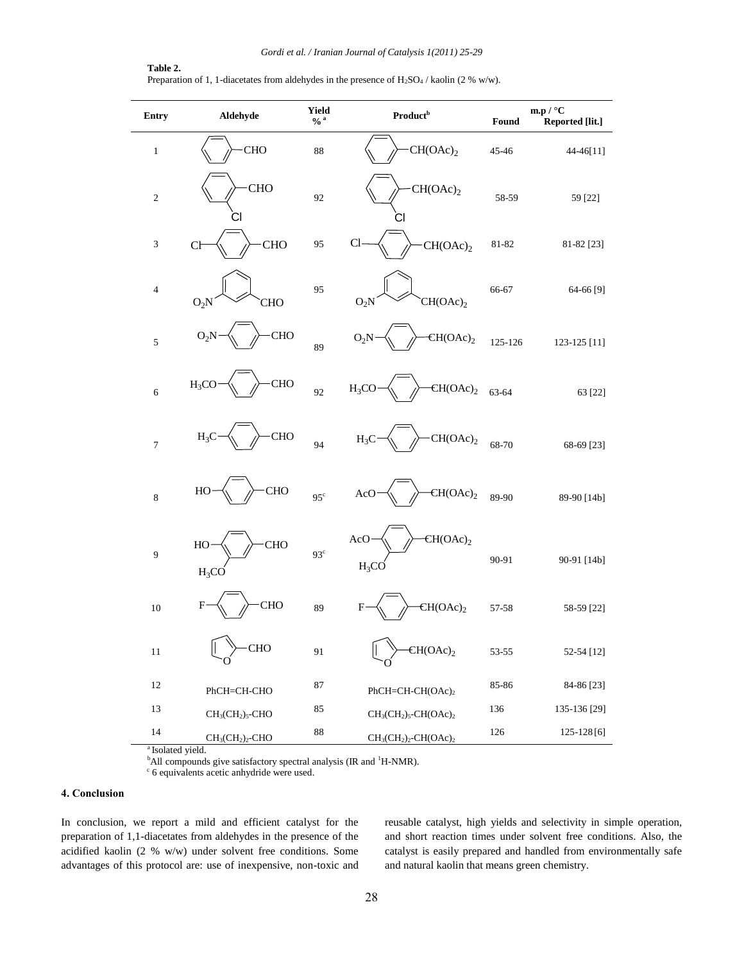#### **Table 2.** Preparation of 1, 1-diacetates from aldehydes in the presence of H<sub>2</sub>SO<sub>4</sub> / kaolin (2 % w/w).

| Entry          | Aldehyde                    | <b>Yield</b><br>$\frac{0}{6}$ a | <b>Product</b> <sup>b</sup>       | Found   | m.p / $^{\circ}$ C<br>Reported [lit.] |
|----------------|-----------------------------|---------------------------------|-----------------------------------|---------|---------------------------------------|
| $\,1$          | <b>CHO</b>                  | 88                              | CH(OAc) <sub>2</sub>              | 45-46   | 44-46[11]                             |
| $\sqrt{2}$     | <b>CHO</b><br>CI            | 92                              | CH(OAc) <sub>2</sub><br>CI        | 58-59   | 59 [22]                               |
| $\sqrt{3}$     | <b>CHO</b><br>C             | 95                              | Cl<br>CH(OAc) <sub>2</sub>        | 81-82   | 81-82 [23]                            |
| $\overline{4}$ | CHO<br>$O_2N$               | 95                              | CH(OAc) <sub>2</sub><br>$O_2N$    | 66-67   | 64-66 [9]                             |
| 5              | CHO<br>$O_2N$               | 89                              | CH(OAc) <sub>2</sub><br>$O_2N$    | 125-126 | 123-125 [11]                          |
| $\sqrt{6}$     | <b>CHO</b><br>$H_3CO$       | 92                              | CH(OAc) <sub>2</sub><br>$H_3CO$   | 63-64   | 63 [22]                               |
| $\overline{7}$ | <b>CHO</b><br>$H_3C$        | 94                              | CH(OAc) <sub>2</sub><br>$H_3C$    | 68-70   | 68-69 [23]                            |
| $\,$ 8 $\,$    | <b>CHO</b><br>HO            | 95 <sup>c</sup>                 | CH(OAc) <sub>2</sub><br>AcO       | 89-90   | 89-90 [14b]                           |
| $\mathbf{9}$   | <b>CHO</b><br>HO<br>$H_3CO$ | 93 <sup>c</sup>                 | $CH(OAc)_2$<br>AcO<br>$H_3CO$     | 90-91   | 90-91 [14b]                           |
| 10             | <b>CHO</b><br>F             | 89                              | CH(OAc) <sub>2</sub><br>F         | 57-58   | 58-59 [22]                            |
| 11             | CHO                         | 91                              | CH(OAc) <sub>2</sub>              | 53-55   | 52-54 [12]                            |
| 12             | PhCH=CH-CHO                 | 87                              | PhCH=CH-CH(OAc) <sub>2</sub>      | 85-86   | 84-86 [23]                            |
| 13             | $CH3(CH2)5$ -CHO            | 85                              | $CH3(CH2)5$ -CH(OAc) <sub>2</sub> | 136     | 135-136 [29]                          |
| $14\,$         | $CH3(CH2)2$ -CHO            | $88\,$                          | $CH3(CH2)2-CH(OAc)2$              | 126     | 125-128[6]                            |

<sup>a</sup> Isolated yield.

<sup>b</sup>All compounds give satisfactory spectral analysis (IR and <sup>1</sup>H-NMR).

<sup>c</sup> 6 equivalents acetic anhydride were used.

#### **4. Conclusion**

In conclusion, we report a mild and efficient catalyst for the preparation of 1,1-diacetates from aldehydes in the presence of the acidified kaolin (2 % w/w) under solvent free conditions. Some advantages of this protocol are: use of inexpensive, non-toxic and reusable catalyst, high yields and selectivity in simple operation, and short reaction times under solvent free conditions. Also, the catalyst is easily prepared and handled from environmentally safe and natural kaolin that means green chemistry.